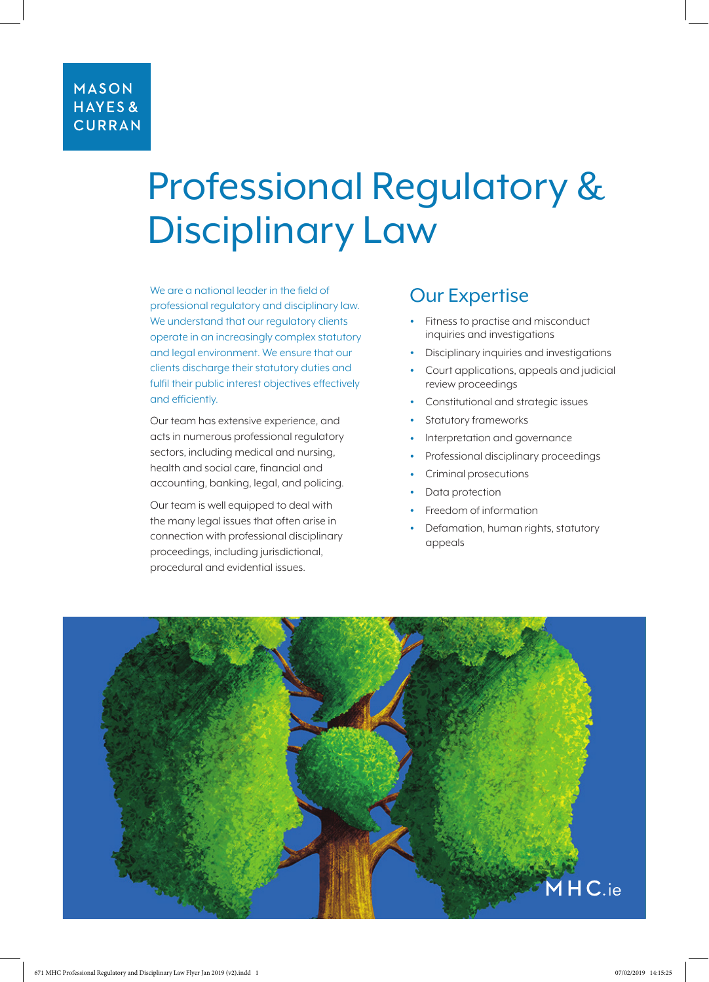# Professional Regulatory & Disciplinary Law

We are a national leader in the field of professional regulatory and disciplinary law. We understand that our regulatory clients operate in an increasingly complex statutory and legal environment. We ensure that our clients discharge their statutory duties and fulfil their public interest objectives effectively and efficiently.

Our team has extensive experience, and acts in numerous professional regulatory sectors, including medical and nursing, health and social care, financial and accounting, banking, legal, and policing.

Our team is well equipped to deal with the many legal issues that often arise in connection with professional disciplinary proceedings, including jurisdictional, procedural and evidential issues.

## Our Expertise

- Fitness to practise and misconduct inquiries and investigations
- Disciplinary inquiries and investigations
- Court applications, appeals and judicial review proceedings
- Constitutional and strategic issues
- Statutory frameworks
- Interpretation and governance
- Professional disciplinary proceedings
- Criminal prosecutions
- Data protection
- Freedom of information
- Defamation, human rights, statutory appeals